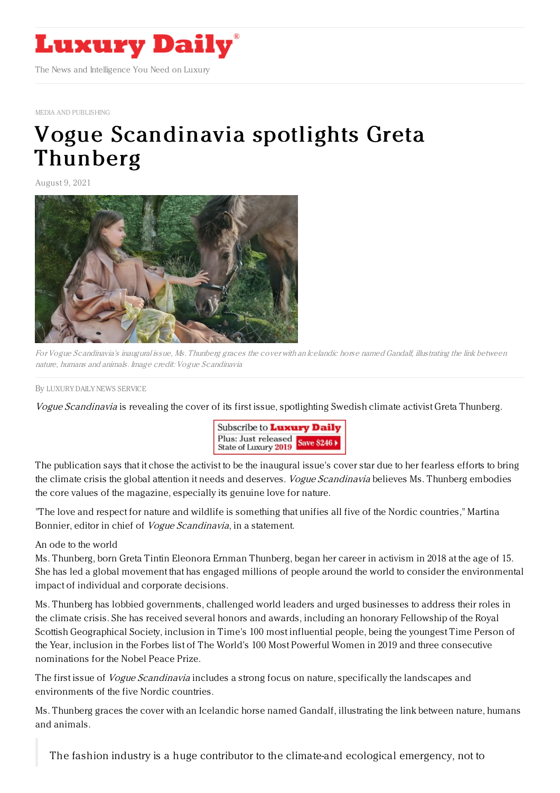

MEDIA AND [PUBLISHING](https://www.luxurydaily.com/category/sectors/mediapublishing/)

## Vogue [Scandinavia](https://www.luxurydaily.com/?p=334511) spotlights Greta Thunberg

August 9, 2021



For Vogue Scandinavia's inaugural issue, Ms. Thunberg graces the cover with an Icelandic horse named Gandalf, illustrating the link between nature, humans and animals. Image credit: Vogue Scandinavia

By LUXURY DAILY NEWS [SERVICE](file:///author/luxury-daily-news-service)

Vogue Scandinavia is revealing the cover of its first issue, spotlighting Swedish climate activist Greta Thunberg.



The publication says that it chose the activist to be the inaugural issue's cover star due to her fearless efforts to bring the climate crisis the global attention it needs and deserves. Vogue Scandinavia believes Ms. Thunberg embodies the core values of the magazine, especially its genuine love for nature.

"The love and respect for nature and wildlife is something that unifies all five of the Nordic countries," Martina Bonnier, editor in chief of *Vogue Scandinavia*, in a statement.

## An ode to the world

Ms. Thunberg, born Greta Tintin Eleonora Ernman Thunberg, began her career in activism in 2018 at the age of 15. She has led a global movement that has engaged millions of people around the world to consider the environmental impact of individual and corporate decisions.

Ms. Thunberg has lobbied governments, challenged world leaders and urged businesses to address their roles in the climate crisis. She has received several honors and awards, including an honorary Fellowship of the Royal Scottish Geographical Society, inclusion in Time's 100 most influential people, being the youngest Time Person of the Year, inclusion in the Forbes list of The World's 100 Most Powerful Women in 2019 and three consecutive nominations for the Nobel Peace Prize.

The first issue of *Vogue Scandinavia* includes a strong focus on nature, specifically the landscapes and environments of the five Nordic countries.

Ms. Thunberg graces the cover with an Icelandic horse named Gandalf, illustrating the link between nature, humans and animals.

The fashion industry is a huge contributor to the climate-and ecological emergency, not to